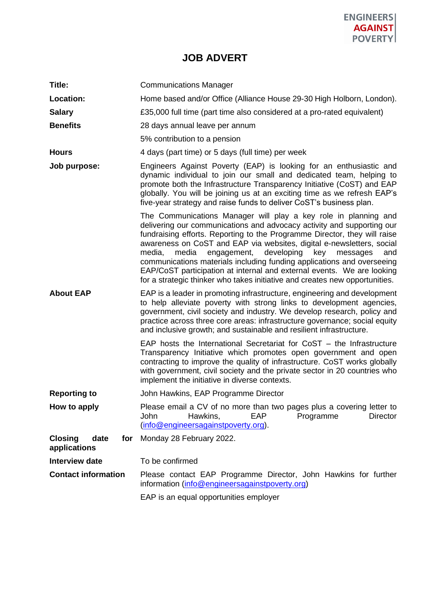

# **JOB ADVERT**

| Title:                                        | <b>Communications Manager</b>                                                                                                                                                                                                                                                                                                                                                                                                                                                                                                                                                                                |
|-----------------------------------------------|--------------------------------------------------------------------------------------------------------------------------------------------------------------------------------------------------------------------------------------------------------------------------------------------------------------------------------------------------------------------------------------------------------------------------------------------------------------------------------------------------------------------------------------------------------------------------------------------------------------|
| Location:                                     | Home based and/or Office (Alliance House 29-30 High Holborn, London).                                                                                                                                                                                                                                                                                                                                                                                                                                                                                                                                        |
| <b>Salary</b>                                 | £35,000 full time (part time also considered at a pro-rated equivalent)                                                                                                                                                                                                                                                                                                                                                                                                                                                                                                                                      |
| <b>Benefits</b>                               | 28 days annual leave per annum                                                                                                                                                                                                                                                                                                                                                                                                                                                                                                                                                                               |
|                                               | 5% contribution to a pension                                                                                                                                                                                                                                                                                                                                                                                                                                                                                                                                                                                 |
| <b>Hours</b>                                  | 4 days (part time) or 5 days (full time) per week                                                                                                                                                                                                                                                                                                                                                                                                                                                                                                                                                            |
| Job purpose:                                  | Engineers Against Poverty (EAP) is looking for an enthusiastic and<br>dynamic individual to join our small and dedicated team, helping to<br>promote both the Infrastructure Transparency Initiative (CoST) and EAP<br>globally. You will be joining us at an exciting time as we refresh EAP's<br>five-year strategy and raise funds to deliver CoST's business plan.                                                                                                                                                                                                                                       |
|                                               | The Communications Manager will play a key role in planning and<br>delivering our communications and advocacy activity and supporting our<br>fundraising efforts. Reporting to the Programme Director, they will raise<br>awareness on CoST and EAP via websites, digital e-newsletters, social<br>media,<br>media<br>engagement,<br>developing<br>key<br>messages<br>and<br>communications materials including funding applications and overseeing<br>EAP/CoST participation at internal and external events. We are looking<br>for a strategic thinker who takes initiative and creates new opportunities. |
| <b>About EAP</b>                              | EAP is a leader in promoting infrastructure, engineering and development<br>to help alleviate poverty with strong links to development agencies,<br>government, civil society and industry. We develop research, policy and<br>practice across three core areas: infrastructure governance; social equity<br>and inclusive growth; and sustainable and resilient infrastructure.                                                                                                                                                                                                                             |
|                                               | EAP hosts the International Secretariat for $CoST -$ the Infrastructure<br>Transparency Initiative which promotes open government and open<br>contracting to improve the quality of infrastructure. CoST works globally<br>with government, civil society and the private sector in 20 countries who<br>implement the initiative in diverse contexts.                                                                                                                                                                                                                                                        |
| <b>Reporting to</b>                           | John Hawkins, EAP Programme Director                                                                                                                                                                                                                                                                                                                                                                                                                                                                                                                                                                         |
| How to apply                                  | Please email a CV of no more than two pages plus a covering letter to<br>Hawkins,<br><b>EAP</b><br>Programme<br>John<br>Director<br>(info@engineersagainstpoverty.org).                                                                                                                                                                                                                                                                                                                                                                                                                                      |
| <b>Closing</b><br>date<br>for<br>applications | Monday 28 February 2022.                                                                                                                                                                                                                                                                                                                                                                                                                                                                                                                                                                                     |
| <b>Interview date</b>                         | To be confirmed                                                                                                                                                                                                                                                                                                                                                                                                                                                                                                                                                                                              |
| <b>Contact information</b>                    | Please contact EAP Programme Director, John Hawkins for further<br>information (info@engineersagainstpoverty.org)                                                                                                                                                                                                                                                                                                                                                                                                                                                                                            |
|                                               | EAP is an equal opportunities employer                                                                                                                                                                                                                                                                                                                                                                                                                                                                                                                                                                       |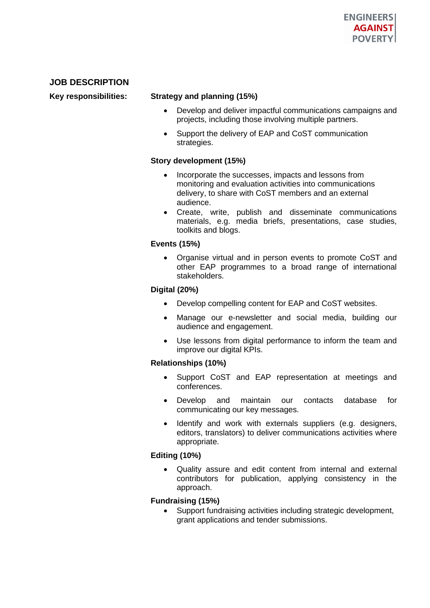# **JOB DESCRIPTION**

# **Key responsibilities: Strategy and planning (15%)**

- Develop and deliver impactful communications campaigns and projects, including those involving multiple partners.
- Support the delivery of EAP and CoST communication strategies.

### **Story development (15%)**

- Incorporate the successes, impacts and lessons from monitoring and evaluation activities into communications delivery, to share with CoST members and an external audience.
- Create, write, publish and disseminate communications materials, e.g. media briefs, presentations, case studies, toolkits and blogs.

# **Events (15%)**

• Organise virtual and in person events to promote CoST and other EAP programmes to a broad range of international stakeholders.

# **Digital (20%)**

- Develop compelling content for EAP and CoST websites.
- Manage our e-newsletter and social media, building our audience and engagement.
- Use lessons from digital performance to inform the team and improve our digital KPIs.

### **Relationships (10%)**

- Support CoST and EAP representation at meetings and conferences.
- Develop and maintain our contacts database for communicating our key messages.
- Identify and work with externals suppliers (e.g. designers, editors, translators) to deliver communications activities where appropriate.

### **Editing (10%)**

• Quality assure and edit content from internal and external contributors for publication, applying consistency in the approach.

### **Fundraising (15%)**

Support fundraising activities including strategic development, grant applications and tender submissions.